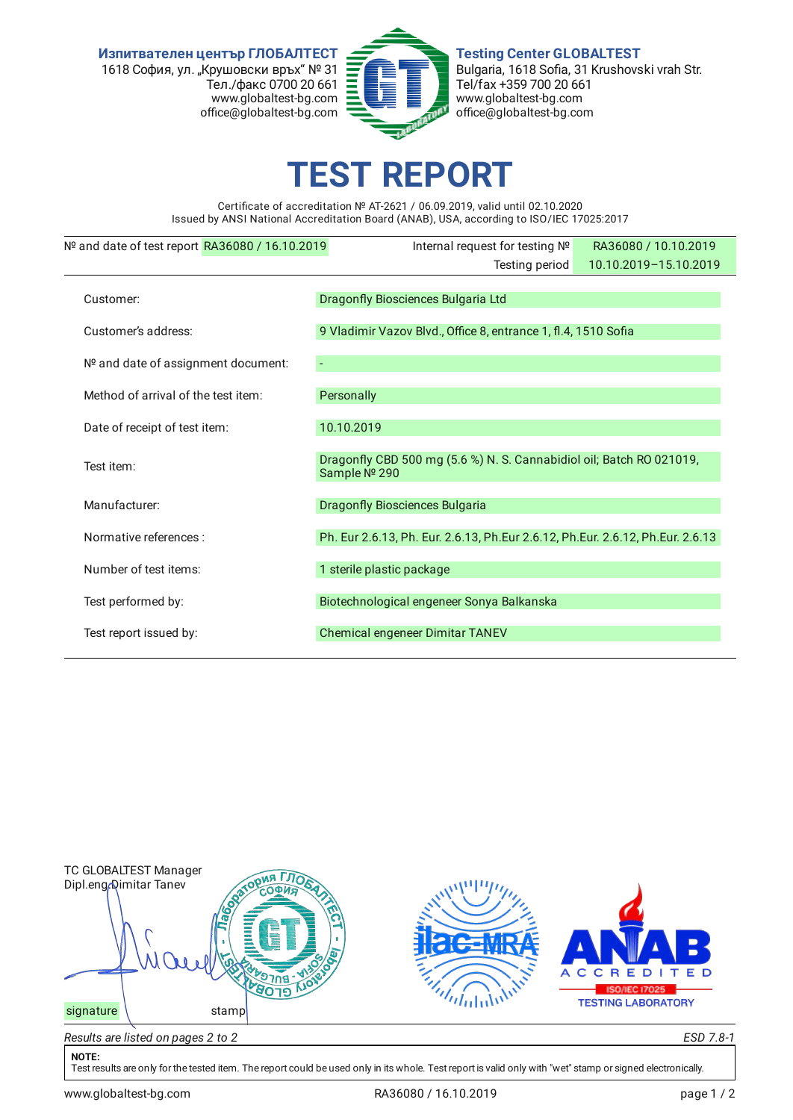**Изпитвателен център ГЛОБАЛТЕСТ** 1618 София, ул. "Крушовски връх" № 31 Тел./факс 0700 20 661 www.globaltest-bg.com office@globaltest-bg.com



**Testing Center GLOBALTEST** Bulgaria, 1618 Sofia, 31 Krushovski vrah Str. Tel/fax +359 700 20 661 www.globaltest-bg.com office@globaltest-bg.com

## **EST REPO**

Certificate of accreditation № AT-2621 / 06.09.2019, valid until 02.10.2020 Issued by ANSI National Accreditation Board (ANAB), USA, according to ISO/IEC 17025:2017

| $No$ and date of test report RA36080 / 16.10.2019 | Internal request for testing Nº                                                      | RA36080 / 10.10.2019  |  |  |  |
|---------------------------------------------------|--------------------------------------------------------------------------------------|-----------------------|--|--|--|
|                                                   | Testing period                                                                       | 10.10.2019-15.10.2019 |  |  |  |
| Customer:                                         | Dragonfly Biosciences Bulgaria Ltd                                                   |                       |  |  |  |
| Customer's address:                               | 9 Vladimir Vazov Blvd., Office 8, entrance 1, fl.4, 1510 Sofia                       |                       |  |  |  |
| Nº and date of assignment document:               |                                                                                      |                       |  |  |  |
| Method of arrival of the test item:               | Personally                                                                           |                       |  |  |  |
| Date of receipt of test item:                     | 10.10.2019                                                                           |                       |  |  |  |
| Test item:                                        | Dragonfly CBD 500 mg (5.6 %) N. S. Cannabidiol oil; Batch RO 021019,<br>Sample № 290 |                       |  |  |  |
| Manufacturer:                                     | <b>Dragonfly Biosciences Bulgaria</b>                                                |                       |  |  |  |
| Normative references :                            | Ph. Eur 2.6.13, Ph. Eur. 2.6.13, Ph. Eur 2.6.12, Ph. Eur. 2.6.12, Ph. Eur. 2.6.13    |                       |  |  |  |
| Number of test items:                             | 1 sterile plastic package                                                            |                       |  |  |  |
| Test performed by:                                | Biotechnological engeneer Sonya Balkanska                                            |                       |  |  |  |
| Test report issued by:                            | Chemical engeneer Dimitar TANEV                                                      |                       |  |  |  |
|                                                   |                                                                                      |                       |  |  |  |



## **NOTE:**

Test results are only for the tested item. The report could be used only in its whole. Test report is valid only with "wet" stamp or signed electronically.